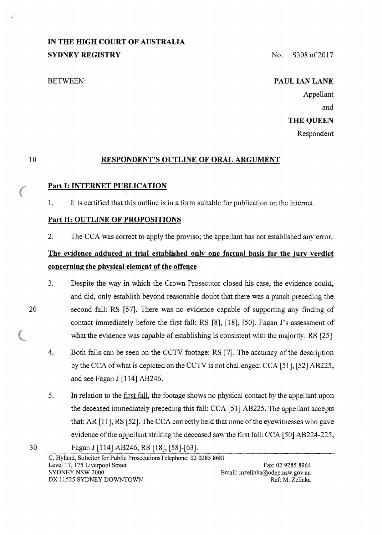# **IN THE HIGH COURT OF AUSTRALIA SYDNEY REGISTRY** No. S308 of 2017

# BETWEEN: **PAUL IAN LANE**

Appellant and

# **THE QUEEN**

Respondent

#### 10

20

# **RESPONDENT'S OUTLINE OF ORAL ARGUMENT**

# **Part 1: INTERNET PUBLICATION**

1. It is certified that this outline is in a form suitable for publication on the internet.

# **Part 11: OUTLINE OF PROPOSITIONS**

2. The CCA was correct to apply the proviso; the appellant has not established any error.

# **The evidence adduced at trial established only one factual basis for the jury verdict concerning the physical element of the offence**

- 3. Despite the way in which the Crown Prosecutor closed his case, the evidence could, and did, only establish beyond reasonable doubt that there was a punch preceding the second fall: RS [57]. There was no evidence capable of supporting any finding of contact immediately before the first fall: RS [8], [18], [50]. Pagan J's assessment of what the evidence was capable of establishing is consistent with the majority: RS [25]
- 4. Both falls can be seen on the CCTV footage: RS [7]. The accuracy of the description by the CCA of what is depicted on the CCTV is not challenged: CCA [51], [52] AB225, and see Pagan J [114] AB246.
- 5. In relation to the first fall, the footage shows no physical contact by the appellant upon the deceased immediately preceding this fall: CCA [51] AB225. The appellant accepts that: AR  $[11]$ , RS  $[52]$ . The CCA correctly held that none of the eyewitnesses who gave evidence of the appellant striking the deceased saw the first fall: CCA [50] AB224-225,
- 30 Pagan J [114] AB246, RS [18], [58]-[63].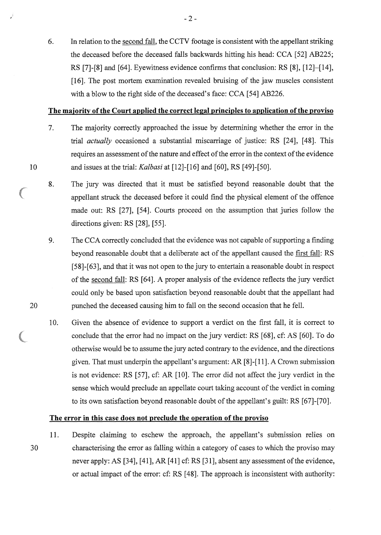6. In relation to the second fall, the CCTV footage is consistent with the appellant striking the deceased before the deceased falls backwards hitting his head: CCA [52] AB225; RS [7]-[8] and [64]. Eyewitness evidence confirms that conclusion: RS [8], [12]-[14], [16]. The post mortem examination revealed bruising of the jaw muscles consistent with a blow to the right side of the deceased's face: CCA [54] AB226.

### **The majority of the Court applied the correct legal principles to application ofthe proviso**

- 7. The majority correctly approached the issue by determining whether the error in the trial *actually* occasioned a substantial miscarriage of justice: RS [24], [48]. This requires an assessment of the nature and effect of the error in the context of the evidence and issues at the trial: *Kalbasi* at [12]-[16] and [60], RS [49]-[50].
- 8. The jury was directed that it must be satisfied beyond reasonable doubt that the appellant struck the deceased before it could find the physical element of the offence made out: RS [27], [54]. Courts proceed on the assumption that juries follow the directions given: RS [28], [55].
- 9. The CCA correctly concluded that the evidence was not capable of supporting a finding beyond reasonable doubt that a deliberate act of the appellant caused the first fall: RS [58]-[63], and that it was not open to the jury to entertain a reasonable doubt in respect of the second fall: RS [64]. A proper analysis of the evidence reflects the jury verdict could only be based upon satisfaction beyond reasonable doubt that the appellant had punched the deceased causing him to fall on the second occasion that he fell.
- 10. Given the absence of evidence to support a verdict on the first fall, it is correct to conclude that the error had no impact on the jury verdict: RS [68], cf: AS [60]. To do otherwise would be to assume the jury acted contrary to the evidence, and the directions given. That must underpin the appellant's argument: AR [8]-[11]. A Crown submission is not evidence: RS [57], cf: AR [10]. The error did not affect the jury verdict in the sense which would preclude an appellate court taking account of the verdict in coming to its own satisfaction beyond reasonable doubt of the appellant's guilt: RS [67]-[70].

#### **The error in this case does not preclude the operation of the proviso**

30 11. Despite claiming to eschew the approach, the appellant's submission relies on characterising the error as falling within a category of cases to which the proviso may never apply: AS [34], [41], AR [41] cf: RS [31], absent any assessment of the evidence, or actual impact of the error: cf: RS [ 48]. The approach is inconsistent with authority:

### 20

10